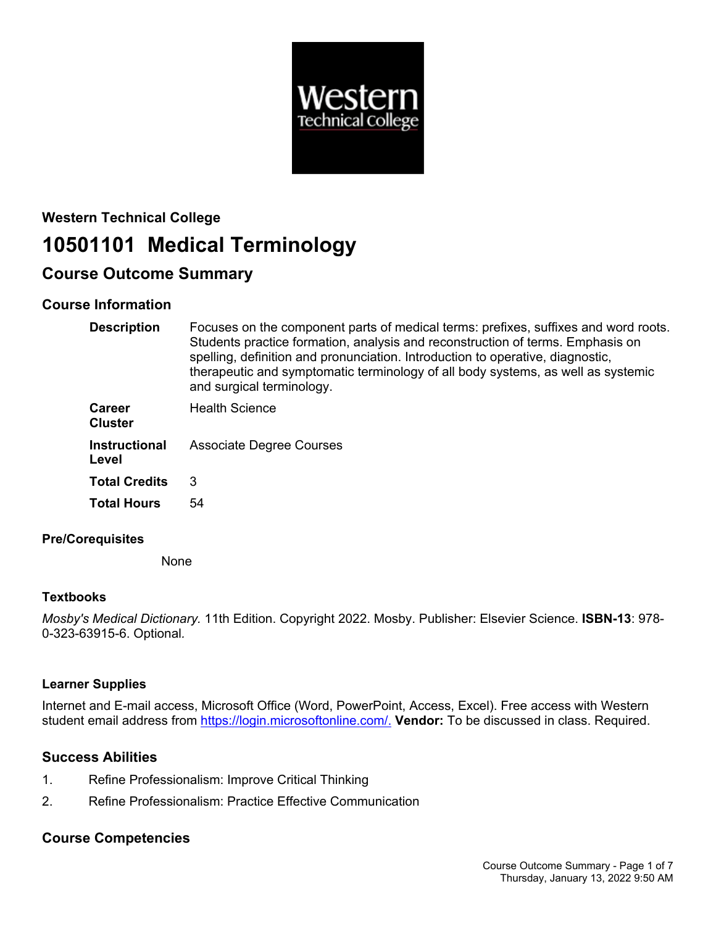

# **Western Technical College 10501101 Medical Terminology**

# **Course Outcome Summary**

# **Course Information**

| <b>Description</b>            | Focuses on the component parts of medical terms: prefixes, suffixes and word roots.<br>Students practice formation, analysis and reconstruction of terms. Emphasis on<br>spelling, definition and pronunciation. Introduction to operative, diagnostic,<br>therapeutic and symptomatic terminology of all body systems, as well as systemic<br>and surgical terminology. |
|-------------------------------|--------------------------------------------------------------------------------------------------------------------------------------------------------------------------------------------------------------------------------------------------------------------------------------------------------------------------------------------------------------------------|
| Career<br><b>Cluster</b>      | <b>Health Science</b>                                                                                                                                                                                                                                                                                                                                                    |
| <b>Instructional</b><br>Level | <b>Associate Degree Courses</b>                                                                                                                                                                                                                                                                                                                                          |
| <b>Total Credits</b>          | 3                                                                                                                                                                                                                                                                                                                                                                        |
| <b>Total Hours</b>            | 54                                                                                                                                                                                                                                                                                                                                                                       |

# **Pre/Corequisites**

None

# **Textbooks**

*Mosby's Medical Dictionary.* 11th Edition. Copyright 2022. Mosby. Publisher: Elsevier Science. **ISBN-13**: 978- 0-323-63915-6. Optional*.*

# **Learner Supplies**

Internet and E-mail access, Microsoft Office (Word, PowerPoint, Access, Excel). Free access with Western student email address from [https://login.microsoftonline.com/.](https://login.microsoftonline.com/) **Vendor:** To be discussed in class. Required.

# **Success Abilities**

- 1. Refine Professionalism: Improve Critical Thinking
- 2. Refine Professionalism: Practice Effective Communication

# **Course Competencies**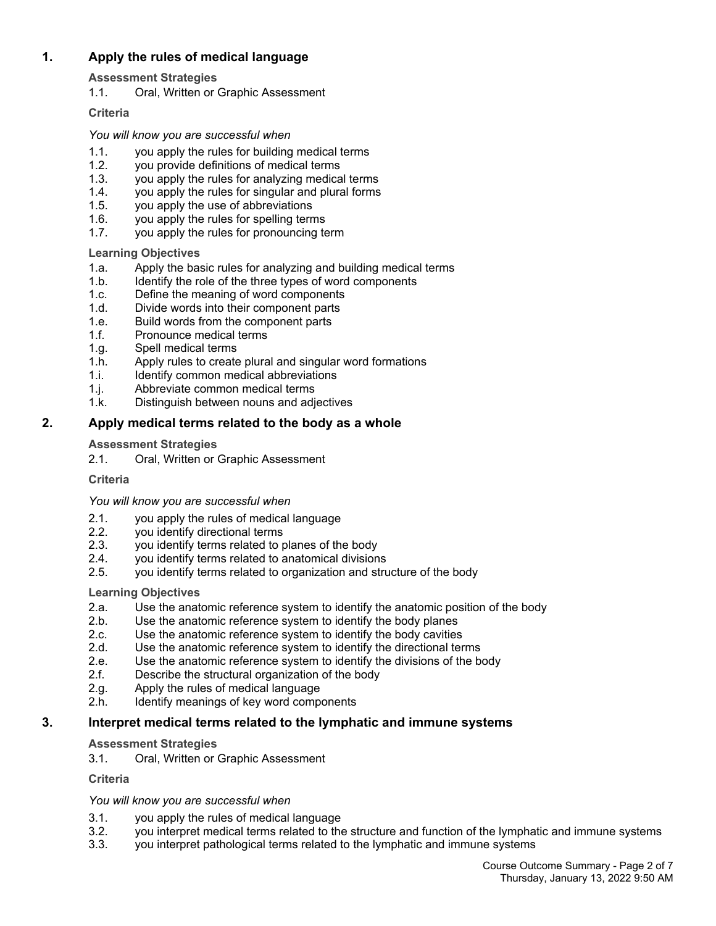# **1. Apply the rules of medical language**

**Assessment Strategies**

1.1. Oral, Written or Graphic Assessment

### **Criteria**

*You will know you are successful when*

- 1.1. you apply the rules for building medical terms
- 1.2. you provide definitions of medical terms
- 1.3. you apply the rules for analyzing medical terms
- 1.4. you apply the rules for singular and plural forms<br>1.5. you apply the use of abbreviations
- you apply the use of abbreviations
- 1.6. you apply the rules for spelling terms
- 1.7. you apply the rules for pronouncing term

### **Learning Objectives**

- 1.a. Apply the basic rules for analyzing and building medical terms
- 1.b. Identify the role of the three types of word components
- 1.c. Define the meaning of word components
- 1.d. Divide words into their component parts
- 1.e. Build words from the component parts
- 1.f. Pronounce medical terms
- 1.g. Spell medical terms
- 1.h. Apply rules to create plural and singular word formations
- 1.i. Identify common medical abbreviations
- 1.j. Abbreviate common medical terms
- 1.k. Distinguish between nouns and adjectives

# **2. Apply medical terms related to the body as a whole**

### **Assessment Strategies**

2.1. Oral, Written or Graphic Assessment

#### **Criteria**

#### *You will know you are successful when*

- 2.1. you apply the rules of medical language
- 2.2. you identify directional terms
- 2.3. you identify terms related to planes of the body
- 2.4. you identify terms related to anatomical divisions
- 2.5. you identify terms related to organization and structure of the body

# **Learning Objectives**

- 2.a. Use the anatomic reference system to identify the anatomic position of the body
- 2.b. Use the anatomic reference system to identify the body planes
- 2.c. Use the anatomic reference system to identify the body cavities 2.d. Use the anatomic reference system to identify the directional ter
- Use the anatomic reference system to identify the directional terms
- 2.e. Use the anatomic reference system to identify the divisions of the body
- 2.f. Describe the structural organization of the body
- 2.g. Apply the rules of medical language
- 2.h. Identify meanings of key word components

# **3. Interpret medical terms related to the lymphatic and immune systems**

#### **Assessment Strategies**

3.1. Oral, Written or Graphic Assessment

#### **Criteria**

- 3.1. you apply the rules of medical language
- 3.2. you interpret medical terms related to the structure and function of the lymphatic and immune systems
- 3.3. you interpret pathological terms related to the lymphatic and immune systems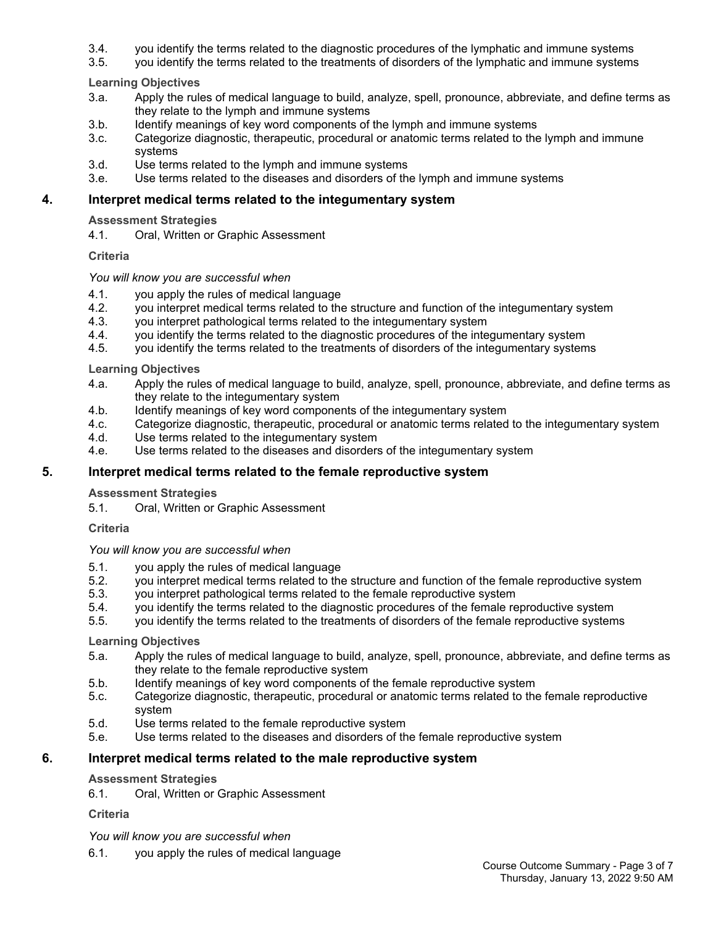- 3.4. you identify the terms related to the diagnostic procedures of the lymphatic and immune systems
- 3.5. you identify the terms related to the treatments of disorders of the lymphatic and immune systems

- 3.a. Apply the rules of medical language to build, analyze, spell, pronounce, abbreviate, and define terms as they relate to the lymph and immune systems
- 3.b. Identify meanings of key word components of the lymph and immune systems
- 3.c. Categorize diagnostic, therapeutic, procedural or anatomic terms related to the lymph and immune systems
- 3.d. Use terms related to the lymph and immune systems
- 3.e. Use terms related to the diseases and disorders of the lymph and immune systems

#### **4. Interpret medical terms related to the integumentary system**

#### **Assessment Strategies**

4.1. Oral, Written or Graphic Assessment

#### **Criteria**

#### *You will know you are successful when*

- 4.1. you apply the rules of medical language<br>4.2. vou interpret medical terms related to the
- you interpret medical terms related to the structure and function of the integumentary system
- 4.3. you interpret pathological terms related to the integumentary system
- 4.4. you identify the terms related to the diagnostic procedures of the integumentary system
- 4.5. you identify the terms related to the treatments of disorders of the integumentary systems

#### **Learning Objectives**

- 4.a. Apply the rules of medical language to build, analyze, spell, pronounce, abbreviate, and define terms as they relate to the integumentary system
- 4.b. Identify meanings of key word components of the integumentary system
- 4.c. Categorize diagnostic, therapeutic, procedural or anatomic terms related to the integumentary system 4.d. Use terms related to the integumentary system
- Use terms related to the integumentary system
- 4.e. Use terms related to the diseases and disorders of the integumentary system

#### **5. Interpret medical terms related to the female reproductive system**

#### **Assessment Strategies**

5.1. Oral, Written or Graphic Assessment

#### **Criteria**

#### *You will know you are successful when*

- 5.1. you apply the rules of medical language
- 5.2. you interpret medical terms related to the structure and function of the female reproductive system
- 5.3. you interpret pathological terms related to the female reproductive system
- 5.4. you identify the terms related to the diagnostic procedures of the female reproductive system
- 5.5. you identify the terms related to the treatments of disorders of the female reproductive systems

#### **Learning Objectives**

- 5.a. Apply the rules of medical language to build, analyze, spell, pronounce, abbreviate, and define terms as they relate to the female reproductive system
- 5.b. Identify meanings of key word components of the female reproductive system
- 5.c. Categorize diagnostic, therapeutic, procedural or anatomic terms related to the female reproductive system
- 5.d. Use terms related to the female reproductive system
- 5.e. Use terms related to the diseases and disorders of the female reproductive system

#### **6. Interpret medical terms related to the male reproductive system**

#### **Assessment Strategies**

6.1. Oral, Written or Graphic Assessment

#### **Criteria**

*You will know you are successful when*

6.1. you apply the rules of medical language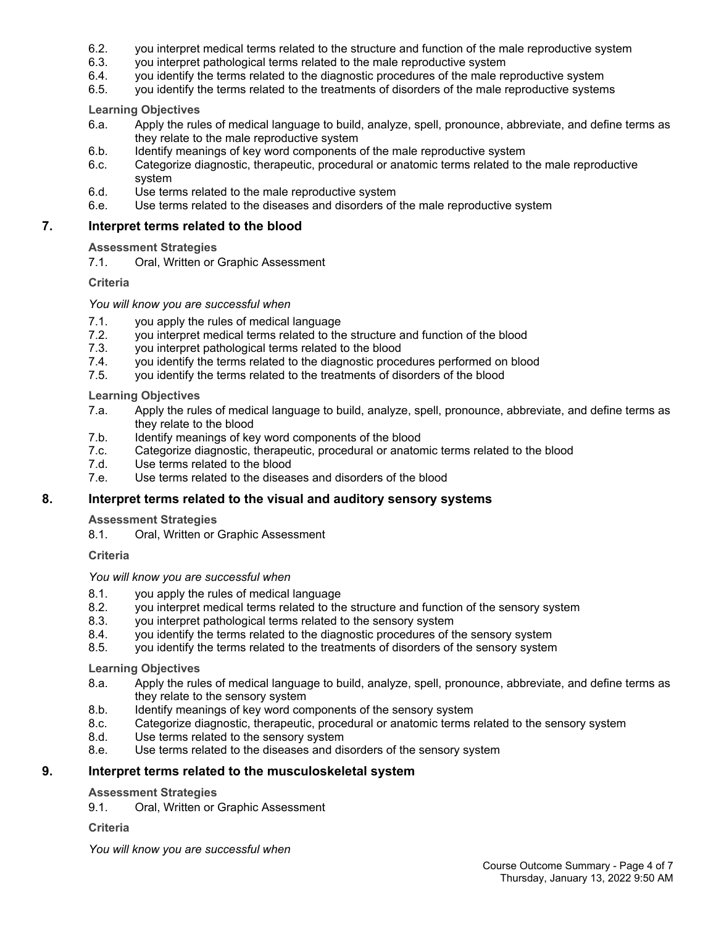- 6.2. you interpret medical terms related to the structure and function of the male reproductive system
- 6.3. you interpret pathological terms related to the male reproductive system
- 6.4. you identify the terms related to the diagnostic procedures of the male reproductive system
- 6.5. you identify the terms related to the treatments of disorders of the male reproductive systems

- 6.a. Apply the rules of medical language to build, analyze, spell, pronounce, abbreviate, and define terms as they relate to the male reproductive system
- 6.b. Identify meanings of key word components of the male reproductive system
- 6.c. Categorize diagnostic, therapeutic, procedural or anatomic terms related to the male reproductive system
- 6.d. Use terms related to the male reproductive system
- 6.e. Use terms related to the diseases and disorders of the male reproductive system

## **7. Interpret terms related to the blood**

**Assessment Strategies**

7.1. Oral, Written or Graphic Assessment

### **Criteria**

#### *You will know you are successful when*

- 7.1. you apply the rules of medical language
- 7.2. you interpret medical terms related to the structure and function of the blood
- 7.3. you interpret pathological terms related to the blood
- 7.4. you identify the terms related to the diagnostic procedures performed on blood
- 7.5. you identify the terms related to the treatments of disorders of the blood

### **Learning Objectives**

- 7.a. Apply the rules of medical language to build, analyze, spell, pronounce, abbreviate, and define terms as they relate to the blood
- 7.b. Identify meanings of key word components of the blood
- 7.c. Categorize diagnostic, therapeutic, procedural or anatomic terms related to the blood
- 7.d. Use terms related to the blood
- 7.e. Use terms related to the diseases and disorders of the blood

# **8. Interpret terms related to the visual and auditory sensory systems**

#### **Assessment Strategies**

8.1. Oral, Written or Graphic Assessment

#### **Criteria**

*You will know you are successful when*

- 8.1. you apply the rules of medical language
- 8.2. you interpret medical terms related to the structure and function of the sensory system
- 8.3. you interpret pathological terms related to the sensory system
- 8.4. you identify the terms related to the diagnostic procedures of the sensory system
- 8.5. you identify the terms related to the treatments of disorders of the sensory system

# **Learning Objectives**

- 8.a. Apply the rules of medical language to build, analyze, spell, pronounce, abbreviate, and define terms as they relate to the sensory system
- 8.b. Identify meanings of key word components of the sensory system
- 8.c. Categorize diagnostic, therapeutic, procedural or anatomic terms related to the sensory system
- 8.d. Use terms related to the sensory system
- 8.e. Use terms related to the diseases and disorders of the sensory system

# **9. Interpret terms related to the musculoskeletal system**

#### **Assessment Strategies**

9.1. Oral, Written or Graphic Assessment

#### **Criteria**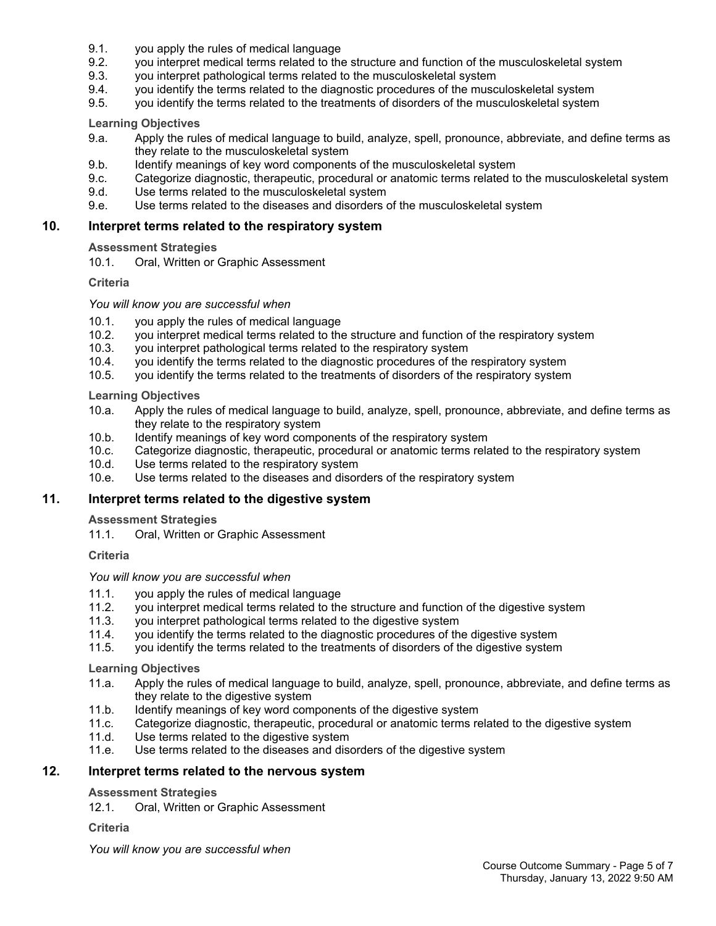- 9.1. you apply the rules of medical language
- 9.2. you interpret medical terms related to the structure and function of the musculoskeletal system
- 9.3. you interpret pathological terms related to the musculoskeletal system
- 9.4. you identify the terms related to the diagnostic procedures of the musculoskeletal system
- 9.5. you identify the terms related to the treatments of disorders of the musculoskeletal system

- 9.a. Apply the rules of medical language to build, analyze, spell, pronounce, abbreviate, and define terms as they relate to the musculoskeletal system
- 9.b. Identify meanings of key word components of the musculoskeletal system
- 9.c. Categorize diagnostic, therapeutic, procedural or anatomic terms related to the musculoskeletal system
- 9.d. Use terms related to the musculoskeletal system
- 9.e. Use terms related to the diseases and disorders of the musculoskeletal system

#### **10. Interpret terms related to the respiratory system**

#### **Assessment Strategies**

10.1. Oral, Written or Graphic Assessment

#### **Criteria**

#### *You will know you are successful when*

- 10.1. you apply the rules of medical language
- 10.2. you interpret medical terms related to the structure and function of the respiratory system
- 10.3. you interpret pathological terms related to the respiratory system
- 10.4. you identify the terms related to the diagnostic procedures of the respiratory system
- 10.5. you identify the terms related to the treatments of disorders of the respiratory system

#### **Learning Objectives**

- 10.a. Apply the rules of medical language to build, analyze, spell, pronounce, abbreviate, and define terms as they relate to the respiratory system
- 10.b. Identify meanings of key word components of the respiratory system
- 10.c. Categorize diagnostic, therapeutic, procedural or anatomic terms related to the respiratory system
- 10.d. Use terms related to the respiratory system
- 10.e. Use terms related to the diseases and disorders of the respiratory system

#### **11. Interpret terms related to the digestive system**

#### **Assessment Strategies**

11.1. Oral, Written or Graphic Assessment

#### **Criteria**

#### *You will know you are successful when*

- 11.1. you apply the rules of medical language
- 11.2. you interpret medical terms related to the structure and function of the digestive system
- 11.3. you interpret pathological terms related to the digestive system
- 11.4. you identify the terms related to the diagnostic procedures of the digestive system
- 11.5. you identify the terms related to the treatments of disorders of the digestive system

#### **Learning Objectives**

- 11.a. Apply the rules of medical language to build, analyze, spell, pronounce, abbreviate, and define terms as they relate to the digestive system
- 11.b. Identify meanings of key word components of the digestive system
- 11.c. Categorize diagnostic, therapeutic, procedural or anatomic terms related to the digestive system
- 11.d. Use terms related to the digestive system
- 11.e. Use terms related to the diseases and disorders of the digestive system

# **12. Interpret terms related to the nervous system**

#### **Assessment Strategies**

12.1. Oral, Written or Graphic Assessment

#### **Criteria**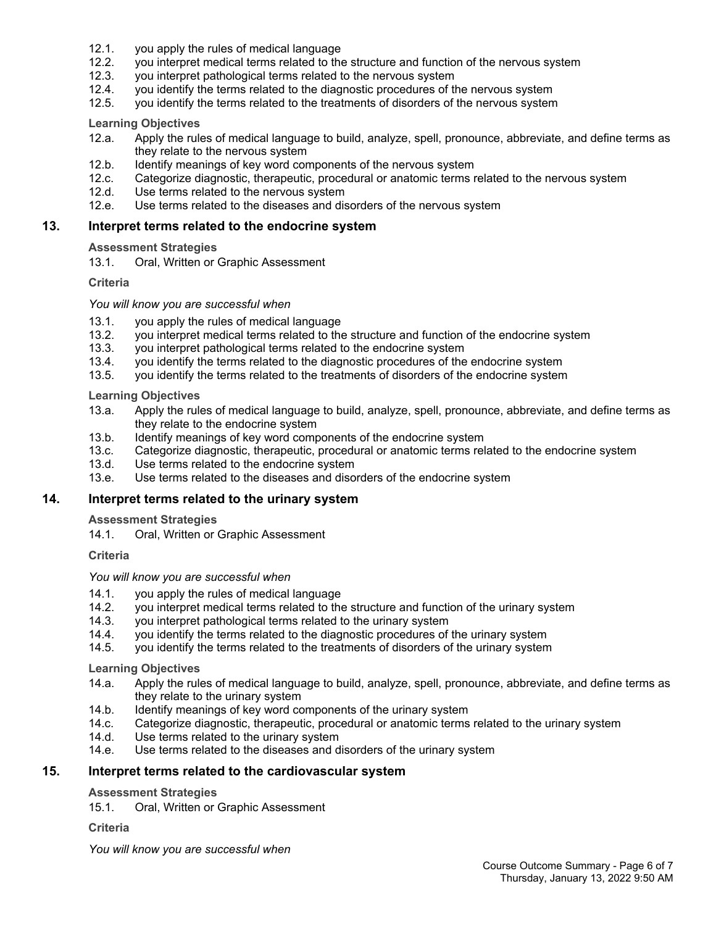- 12.1. you apply the rules of medical language
- 12.2. you interpret medical terms related to the structure and function of the nervous system
- 12.3. you interpret pathological terms related to the nervous system
- 12.4. you identify the terms related to the diagnostic procedures of the nervous system
- 12.5. you identify the terms related to the treatments of disorders of the nervous system

- 12.a. Apply the rules of medical language to build, analyze, spell, pronounce, abbreviate, and define terms as they relate to the nervous system
- 12.b. Identify meanings of key word components of the nervous system
- 12.c. Categorize diagnostic, therapeutic, procedural or anatomic terms related to the nervous system
- 12.d. Use terms related to the nervous system
- 12.e. Use terms related to the diseases and disorders of the nervous system

#### **13. Interpret terms related to the endocrine system**

#### **Assessment Strategies**

13.1. Oral, Written or Graphic Assessment

#### **Criteria**

#### *You will know you are successful when*

- 13.1. you apply the rules of medical language
- 13.2. you interpret medical terms related to the structure and function of the endocrine system
- 13.3. you interpret pathological terms related to the endocrine system
- 13.4. you identify the terms related to the diagnostic procedures of the endocrine system
- 13.5. you identify the terms related to the treatments of disorders of the endocrine system

#### **Learning Objectives**

- 13.a. Apply the rules of medical language to build, analyze, spell, pronounce, abbreviate, and define terms as they relate to the endocrine system
- 13.b. Identify meanings of key word components of the endocrine system
- 13.c. Categorize diagnostic, therapeutic, procedural or anatomic terms related to the endocrine system
- 13.d. Use terms related to the endocrine system
- 13.e. Use terms related to the diseases and disorders of the endocrine system

#### **14. Interpret terms related to the urinary system**

#### **Assessment Strategies**

14.1. Oral, Written or Graphic Assessment

#### **Criteria**

*You will know you are successful when*

- 14.1. you apply the rules of medical language<br>14.2. vou interpret medical terms related to the
- 14.2. you interpret medical terms related to the structure and function of the urinary system
- 14.3. you interpret pathological terms related to the urinary system
- 14.4. you identify the terms related to the diagnostic procedures of the urinary system
- 14.5. you identify the terms related to the treatments of disorders of the urinary system

#### **Learning Objectives**

- 14.a. Apply the rules of medical language to build, analyze, spell, pronounce, abbreviate, and define terms as they relate to the urinary system
- 14.b. Identify meanings of key word components of the urinary system
- 14.c. Categorize diagnostic, therapeutic, procedural or anatomic terms related to the urinary system
- 14.d. Use terms related to the urinary system
- 14.e. Use terms related to the diseases and disorders of the urinary system

# **15. Interpret terms related to the cardiovascular system**

#### **Assessment Strategies**

15.1. Oral, Written or Graphic Assessment

#### **Criteria**